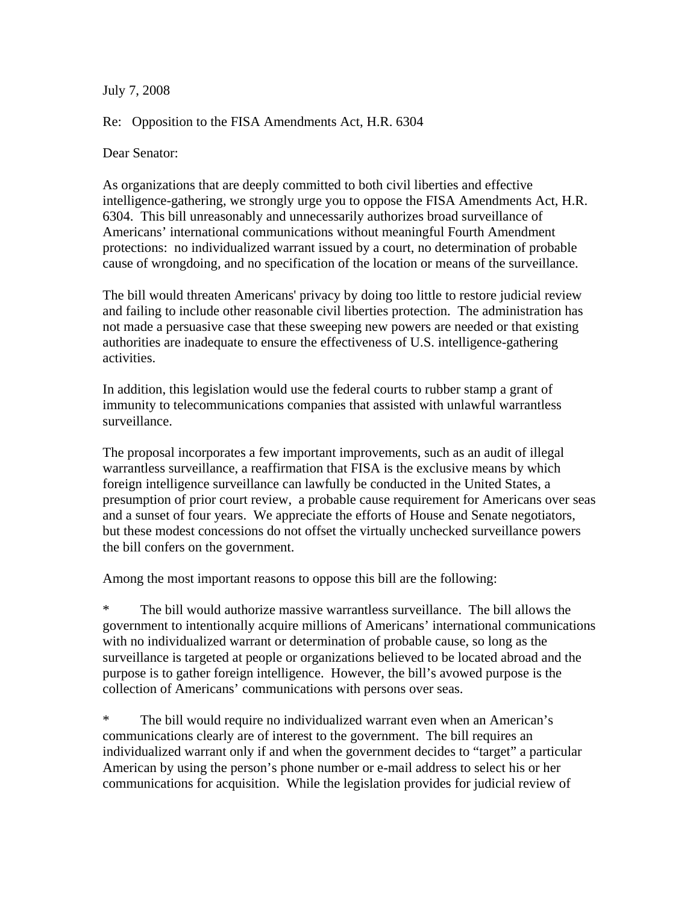July 7, 2008

Re: Opposition to the FISA Amendments Act, H.R. 6304

Dear Senator:

As organizations that are deeply committed to both civil liberties and effective intelligence-gathering, we strongly urge you to oppose the FISA Amendments Act, H.R. 6304. This bill unreasonably and unnecessarily authorizes broad surveillance of Americans' international communications without meaningful Fourth Amendment protections: no individualized warrant issued by a court, no determination of probable cause of wrongdoing, and no specification of the location or means of the surveillance.

The bill would threaten Americans' privacy by doing too little to restore judicial review and failing to include other reasonable civil liberties protection. The administration has not made a persuasive case that these sweeping new powers are needed or that existing authorities are inadequate to ensure the effectiveness of U.S. intelligence-gathering activities.

In addition, this legislation would use the federal courts to rubber stamp a grant of immunity to telecommunications companies that assisted with unlawful warrantless surveillance.

The proposal incorporates a few important improvements, such as an audit of illegal warrantless surveillance, a reaffirmation that FISA is the exclusive means by which foreign intelligence surveillance can lawfully be conducted in the United States, a presumption of prior court review, a probable cause requirement for Americans over seas and a sunset of four years. We appreciate the efforts of House and Senate negotiators, but these modest concessions do not offset the virtually unchecked surveillance powers the bill confers on the government.

Among the most important reasons to oppose this bill are the following:

\* The bill would authorize massive warrantless surveillance. The bill allows the government to intentionally acquire millions of Americans' international communications with no individualized warrant or determination of probable cause, so long as the surveillance is targeted at people or organizations believed to be located abroad and the purpose is to gather foreign intelligence. However, the bill's avowed purpose is the collection of Americans' communications with persons over seas.

\* The bill would require no individualized warrant even when an American's communications clearly are of interest to the government. The bill requires an individualized warrant only if and when the government decides to "target" a particular American by using the person's phone number or e-mail address to select his or her communications for acquisition. While the legislation provides for judicial review of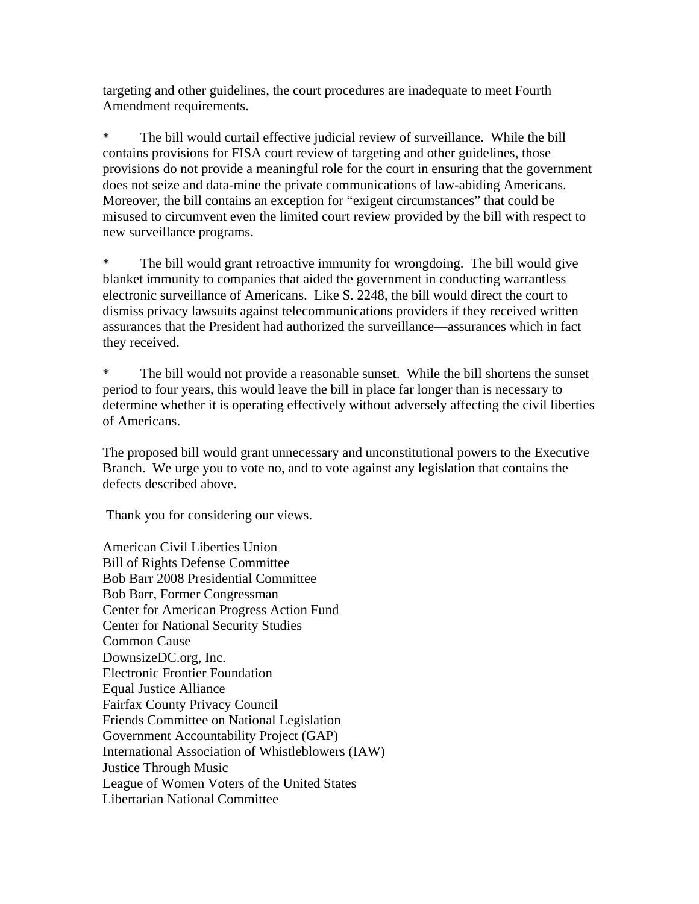targeting and other guidelines, the court procedures are inadequate to meet Fourth Amendment requirements.

\* The bill would curtail effective judicial review of surveillance. While the bill contains provisions for FISA court review of targeting and other guidelines, those provisions do not provide a meaningful role for the court in ensuring that the government does not seize and data-mine the private communications of law-abiding Americans. Moreover, the bill contains an exception for "exigent circumstances" that could be misused to circumvent even the limited court review provided by the bill with respect to new surveillance programs.

\* The bill would grant retroactive immunity for wrongdoing. The bill would give blanket immunity to companies that aided the government in conducting warrantless electronic surveillance of Americans. Like S. 2248, the bill would direct the court to dismiss privacy lawsuits against telecommunications providers if they received written assurances that the President had authorized the surveillance—assurances which in fact they received.

\* The bill would not provide a reasonable sunset. While the bill shortens the sunset period to four years, this would leave the bill in place far longer than is necessary to determine whether it is operating effectively without adversely affecting the civil liberties of Americans.

The proposed bill would grant unnecessary and unconstitutional powers to the Executive Branch. We urge you to vote no, and to vote against any legislation that contains the defects described above.

Thank you for considering our views.

American Civil Liberties Union Bill of Rights Defense Committee Bob Barr 2008 Presidential Committee Bob Barr, Former Congressman Center for American Progress Action Fund Center for National Security Studies Common Cause DownsizeDC.org, Inc. Electronic Frontier Foundation Equal Justice Alliance Fairfax County Privacy Council Friends Committee on National Legislation Government Accountability Project (GAP) International Association of Whistleblowers (IAW) Justice Through Music League of Women Voters of the United States Libertarian National Committee